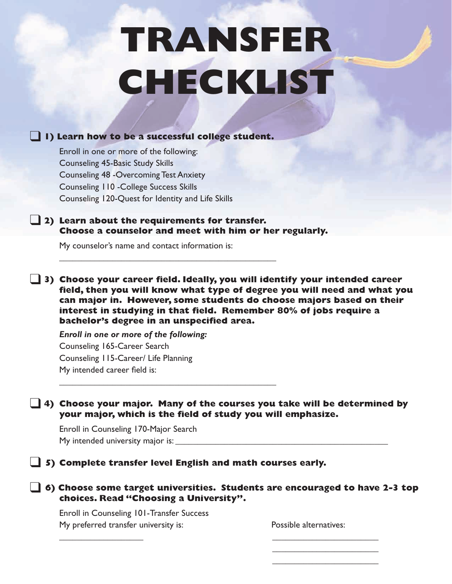# **TRANSFER CHECKLIST**

## ❑ **1) Learn how to be <sup>a</sup> successful college student.**

Enroll in one or more of the following: Counseling 45-Basic Study Skills Counseling 48 -Overcoming Test Anxiety Counseling 110 -College Success Skills Counseling 120-Quest for Identity and Life Skills

#### ❑ **2) Learn about the requirements for transfer. Choose a counselor and meet with him or her regularly.**

\_\_\_\_\_\_\_\_\_\_\_\_\_\_\_\_\_\_\_\_\_\_\_\_\_\_\_\_\_\_\_\_\_\_\_\_\_\_\_\_\_\_\_\_\_\_\_\_\_

\_\_\_\_\_\_\_\_\_\_\_\_\_\_\_\_\_\_\_\_\_\_\_\_\_\_\_\_\_\_\_\_\_\_\_\_\_\_\_\_\_\_\_\_\_\_\_\_\_

My counselor's name and contact information is:

❑ **3) Choose your career field. Ideally, you will identify your intended career field, then you will know what type of degree you will need and what you can major in. However, some students do choose majors based on their interest in studying in that field. Remember 80% of jobs require a bachelor's degree in an unspecified area.**

*Enroll in one or more of the following:* Counseling 165-Career Search Counseling 115-Career/ Life Planning My intended career field is:

#### ❑ **4) Choose your major. Many of the courses you take will be determined by your major, which is the field of study you will emphasize.**

Enroll in Counseling 170-Major Search My intended university major is:

#### ❑ **5) Complete transfer level English and math courses early.**

#### ❑ **6) Choose some target universities. Students are encouraged to have 2-3 top choices. Read "Choosing a University".**

 $\overline{\phantom{a}}$  , and the contract of the contract of the contract of the contract of the contract of the contract of the contract of the contract of the contract of the contract of the contract of the contract of the contrac

Enroll in Counseling 101-Transfer Success My preferred transfer university is: Possible alternatives:

 $\overline{\phantom{a}}$  , where  $\overline{\phantom{a}}$  , where  $\overline{\phantom{a}}$  , where  $\overline{\phantom{a}}$  $\overline{\phantom{a}}$  , where  $\overline{\phantom{a}}$